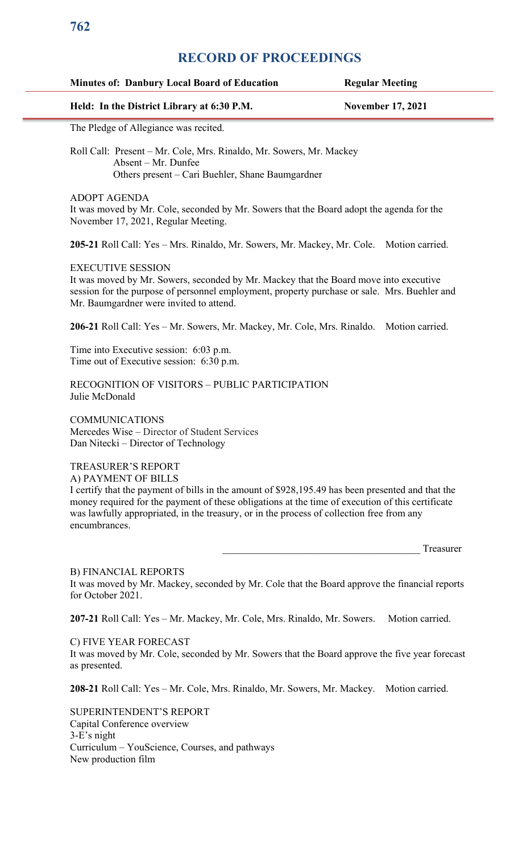## **Minutes of: Danbury Local Board of Education Regular Meeting**

## **Held: In the District Library at 6:30 P.M. November 17, 2021**

The Pledge of Allegiance was recited.

Roll Call: Present – Mr. Cole, Mrs. Rinaldo, Mr. Sowers, Mr. Mackey Absent – Mr. Dunfee Others present – Cari Buehler, Shane Baumgardner

ADOPT AGENDA

It was moved by Mr. Cole, seconded by Mr. Sowers that the Board adopt the agenda for the November 17, 2021, Regular Meeting.

**205-21** Roll Call: Yes – Mrs. Rinaldo, Mr. Sowers, Mr. Mackey, Mr. Cole. Motion carried.

#### EXECUTIVE SESSION

It was moved by Mr. Sowers, seconded by Mr. Mackey that the Board move into executive session for the purpose of personnel employment, property purchase or sale. Mrs. Buehler and Mr. Baumgardner were invited to attend.

**206-21** Roll Call: Yes – Mr. Sowers, Mr. Mackey, Mr. Cole, Mrs. Rinaldo. Motion carried.

Time into Executive session: 6:03 p.m. Time out of Executive session: 6:30 p.m.

RECOGNITION OF VISITORS – PUBLIC PARTICIPATION Julie McDonald

**COMMUNICATIONS** Mercedes Wise – Director of Student Services Dan Nitecki – Director of Technology

#### TREASURER'S REPORT A) PAYMENT OF BILLS

I certify that the payment of bills in the amount of \$928,195.49 has been presented and that the money required for the payment of these obligations at the time of execution of this certificate was lawfully appropriated, in the treasury, or in the process of collection free from any encumbrances.

Treasurer

#### B) FINANCIAL REPORTS It was moved by Mr. Mackey, seconded by Mr. Cole that the Board approve the financial reports for October 2021.

207-21 Roll Call: Yes – Mr. Mackey, Mr. Cole, Mrs. Rinaldo, Mr. Sowers. Motion carried.

C) FIVE YEAR FORECAST

It was moved by Mr. Cole, seconded by Mr. Sowers that the Board approve the five year forecast as presented.

**208-21** Roll Call: Yes – Mr. Cole, Mrs. Rinaldo, Mr. Sowers, Mr. Mackey. Motion carried.

SUPERINTENDENT'S REPORT Capital Conference overview 3-E's night Curriculum – YouScience, Courses, and pathways New production film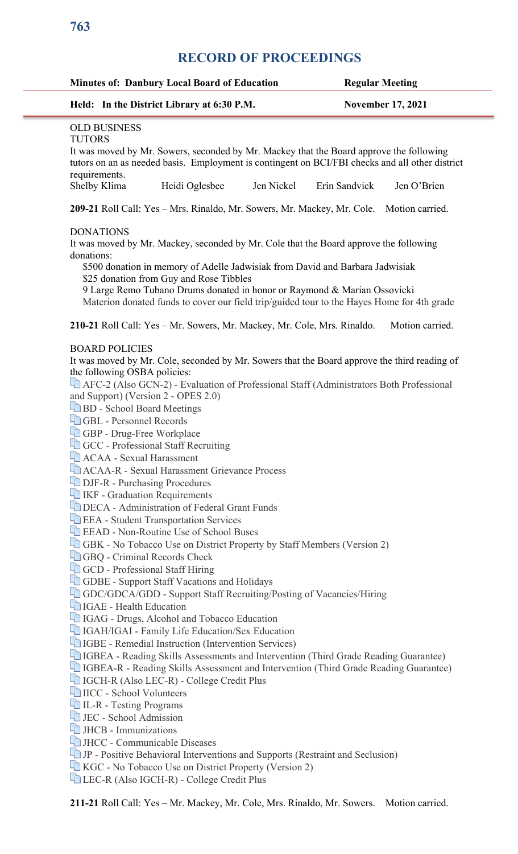|                                                                                   | Held: In the District Library at 6:30 P.M.                                                       |               | <b>November 17, 2021</b> |
|-----------------------------------------------------------------------------------|--------------------------------------------------------------------------------------------------|---------------|--------------------------|
| <b>OLD BUSINESS</b>                                                               |                                                                                                  |               |                          |
| <b>TUTORS</b>                                                                     |                                                                                                  |               |                          |
|                                                                                   | It was moved by Mr. Sowers, seconded by Mr. Mackey that the Board approve the following          |               |                          |
|                                                                                   | tutors on an as needed basis. Employment is contingent on BCI/FBI checks and all other district  |               |                          |
| requirements.                                                                     |                                                                                                  |               |                          |
| Shelby Klima                                                                      | Jen Nickel<br>Heidi Oglesbee                                                                     | Erin Sandvick | Jen O'Brien              |
|                                                                                   | 209-21 Roll Call: Yes - Mrs. Rinaldo, Mr. Sowers, Mr. Mackey, Mr. Cole.                          |               | Motion carried.          |
| <b>DONATIONS</b>                                                                  |                                                                                                  |               |                          |
| donations:                                                                        | It was moved by Mr. Mackey, seconded by Mr. Cole that the Board approve the following            |               |                          |
|                                                                                   | \$500 donation in memory of Adelle Jadwisiak from David and Barbara Jadwisiak                    |               |                          |
|                                                                                   | \$25 donation from Guy and Rose Tibbles                                                          |               |                          |
|                                                                                   | 9 Large Remo Tubano Drums donated in honor or Raymond & Marian Ossovicki                         |               |                          |
|                                                                                   | Materion donated funds to cover our field trip/guided tour to the Hayes Home for 4th grade       |               |                          |
|                                                                                   |                                                                                                  |               |                          |
|                                                                                   | 210-21 Roll Call: Yes – Mr. Sowers, Mr. Mackey, Mr. Cole, Mrs. Rinaldo.                          |               | Motion carried.          |
|                                                                                   |                                                                                                  |               |                          |
| <b>BOARD POLICIES</b>                                                             |                                                                                                  |               |                          |
|                                                                                   | It was moved by Mr. Cole, seconded by Mr. Sowers that the Board approve the third reading of     |               |                          |
| the following OSBA policies:                                                      |                                                                                                  |               |                          |
|                                                                                   | AFC-2 (Also GCN-2) - Evaluation of Professional Staff (Administrators Both Professional          |               |                          |
| and Support) (Version 2 - OPES 2.0)                                               |                                                                                                  |               |                          |
| BD - School Board Meetings                                                        |                                                                                                  |               |                          |
| GBL - Personnel Records                                                           |                                                                                                  |               |                          |
| GBP - Drug-Free Workplace                                                         |                                                                                                  |               |                          |
|                                                                                   | <b>GCC</b> - Professional Staff Recruiting                                                       |               |                          |
| <b>ACAA - Sexual Harassment</b>                                                   | <b>ACAA-R</b> - Sexual Harassment Grievance Process                                              |               |                          |
|                                                                                   |                                                                                                  |               |                          |
| <b>DJF-R</b> - Purchasing Procedures<br><b>TEXT</b> IKF - Graduation Requirements |                                                                                                  |               |                          |
|                                                                                   | <b>DECA</b> - Administration of Federal Grant Funds                                              |               |                          |
|                                                                                   | <b>EEA</b> - Student Transportation Services                                                     |               |                          |
|                                                                                   | <b>EXAD</b> - Non-Routine Use of School Buses                                                    |               |                          |
|                                                                                   | <b>GBK</b> - No Tobacco Use on District Property by Staff Members (Version 2)                    |               |                          |
| <b>GBQ</b> - Criminal Records Check                                               |                                                                                                  |               |                          |
| GCD - Professional Staff Hiring                                                   |                                                                                                  |               |                          |
|                                                                                   | GDBE - Support Staff Vacations and Holidays                                                      |               |                          |
|                                                                                   | GDC/GDCA/GDD - Support Staff Recruiting/Posting of Vacancies/Hiring                              |               |                          |
| $\Box$ IGAE - Health Education                                                    |                                                                                                  |               |                          |
|                                                                                   | <b>IGAG</b> - Drugs, Alcohol and Tobacco Education                                               |               |                          |
|                                                                                   | <b>TE IGAH/IGAI - Family Life Education/Sex Education</b>                                        |               |                          |
|                                                                                   | <b>TED</b> IGBE - Remedial Instruction (Intervention Services)                                   |               |                          |
|                                                                                   | <b>Times IGBEA</b> - Reading Skills Assessments and Intervention (Third Grade Reading Guarantee) |               |                          |
|                                                                                   | <b>The IGBEA-R</b> - Reading Skills Assessment and Intervention (Third Grade Reading Guarantee)  |               |                          |
|                                                                                   | <b>Til IGCH-R (Also LEC-R) - College Credit Plus</b>                                             |               |                          |
| IICC - School Volunteers                                                          |                                                                                                  |               |                          |
| <b>LE-R</b> - Testing Programs                                                    |                                                                                                  |               |                          |
| <b>La JEC</b> - School Admission                                                  |                                                                                                  |               |                          |
| $\Box$ JHCB - Immunizations                                                       |                                                                                                  |               |                          |
|                                                                                   |                                                                                                  |               |                          |
|                                                                                   |                                                                                                  |               |                          |
|                                                                                   | $\Box$ JP - Positive Behavioral Interventions and Supports (Restraint and Seclusion)             |               |                          |
| <b>HEC</b> - Communicable Diseases                                                | KGC - No Tobacco Use on District Property (Version 2)                                            |               |                          |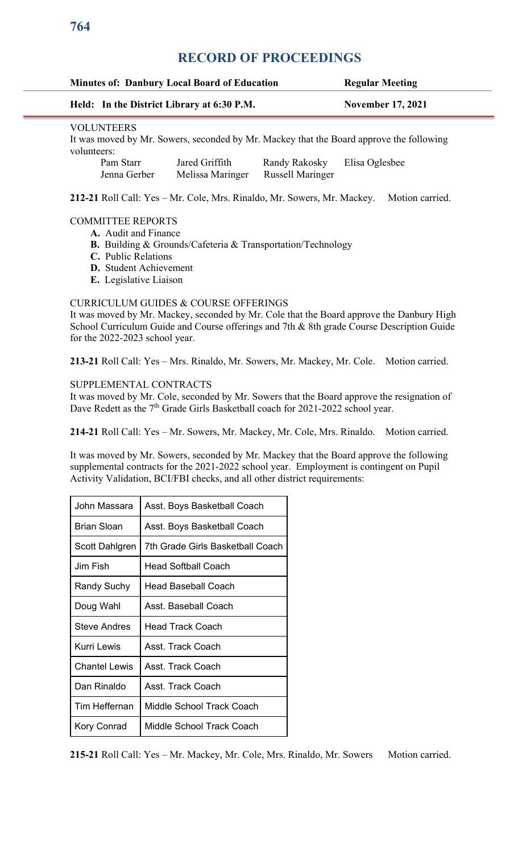| <b>Minutes of: Danbury Local Board of Education</b>                                                                         |                           |                                            | <b>Regular Meeting</b>                   |                          |  |  |
|-----------------------------------------------------------------------------------------------------------------------------|---------------------------|--------------------------------------------|------------------------------------------|--------------------------|--|--|
|                                                                                                                             |                           | Held: In the District Library at 6:30 P.M. |                                          | <b>November 17, 2021</b> |  |  |
| <b>VOLUNTEERS</b><br>It was moved by Mr. Sowers, seconded by Mr. Mackey that the Board approve the following<br>volunteers: |                           |                                            |                                          |                          |  |  |
|                                                                                                                             | Pam Starr<br>Jenna Gerber | Jared Griffith<br>Melissa Maringer         | Randy Rakosky<br><b>Russell Maringer</b> | Elisa Oglesbee           |  |  |

212-21 Roll Call: Yes - Mr. Cole, Mrs. Rinaldo, Mr. Sowers, Mr. Mackey. Motion carried.

### COMMITTEE REPORTS

- **A.** Audit and Finance
- **B.** Building & Grounds/Cafeteria & Transportation/Technology
- **C.** Public Relations
- **D.** Student Achievement
- **E.** Legislative Liaison

### CURRICULUM GUIDES & COURSE OFFERINGS

It was moved by Mr. Mackey, seconded by Mr. Cole that the Board approve the Danbury High School Curriculum Guide and Course offerings and 7th & 8th grade Course Description Guide for the 2022-2023 school year.

**213-21** Roll Call: Yes – Mrs. Rinaldo, Mr. Sowers, Mr. Mackey, Mr. Cole. Motion carried.

### SUPPLEMENTAL CONTRACTS

It was moved by Mr. Cole, seconded by Mr. Sowers that the Board approve the resignation of Dave Redett as the 7<sup>th</sup> Grade Girls Basketball coach for 2021-2022 school year.

**214-21** Roll Call: Yes – Mr. Sowers, Mr. Mackey, Mr. Cole, Mrs. Rinaldo. Motion carried.

It was moved by Mr. Sowers, seconded by Mr. Mackey that the Board approve the following supplemental contracts for the 2021-2022 school year. Employment is contingent on Pupil Activity Validation, BCI/FBI checks, and all other district requirements:

| John Massara         | Asst. Boys Basketball Coach      |  |
|----------------------|----------------------------------|--|
| Brian Sloan          | Asst. Boys Basketball Coach      |  |
| Scott Dahlgren       | 7th Grade Girls Basketball Coach |  |
| Jim Fish             | Head Softball Coach              |  |
| Randy Suchy          | Head Baseball Coach              |  |
| Doug Wahl            | Asst. Baseball Coach             |  |
| Steve Andres         | Head Track Coach                 |  |
| Kurri Lewis          | Asst Track Coach                 |  |
| <b>Chantel Lewis</b> | Asst. Track Coach                |  |
| Dan Rinaldo          | Asst. Track Coach                |  |
| Tim Heffernan        | Middle School Track Coach        |  |
| Kory Conrad          | Middle School Track Coach        |  |

<sup>215-21</sup> Roll Call: Yes - Mr. Mackey, Mr. Cole, Mrs. Rinaldo, Mr. Sowers Motion carried.